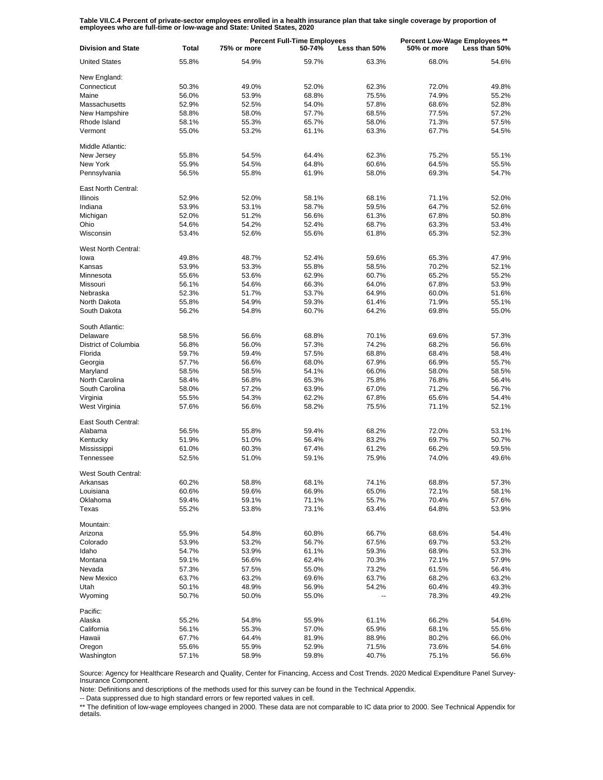**Table VII.C.4 Percent of private-sector employees enrolled in a health insurance plan that take single coverage by proportion of employees who are full-time or low-wage and State: United States, 2020**

| <b>Division and State</b> | <b>Percent Full-Time Employees</b><br><b>Total</b><br>75% or more<br>50-74% |       | Less than 50% | Percent Low-Wage Employees **<br>Less than 50%<br>50% or more |       |       |
|---------------------------|-----------------------------------------------------------------------------|-------|---------------|---------------------------------------------------------------|-------|-------|
| <b>United States</b>      | 55.8%                                                                       | 54.9% | 59.7%         | 63.3%                                                         | 68.0% | 54.6% |
| New England:              |                                                                             |       |               |                                                               |       |       |
| Connecticut               | 50.3%                                                                       | 49.0% | 52.0%         | 62.3%                                                         | 72.0% | 49.8% |
| Maine                     | 56.0%                                                                       | 53.9% | 68.8%         | 75.5%                                                         | 74.9% | 55.2% |
| Massachusetts             | 52.9%                                                                       | 52.5% | 54.0%         | 57.8%                                                         | 68.6% | 52.8% |
| New Hampshire             | 58.8%                                                                       | 58.0% | 57.7%         | 68.5%                                                         | 77.5% | 57.2% |
| Rhode Island              | 58.1%                                                                       | 55.3% | 65.7%         | 58.0%                                                         | 71.3% | 57.5% |
| Vermont                   | 55.0%                                                                       | 53.2% | 61.1%         | 63.3%                                                         | 67.7% | 54.5% |
| Middle Atlantic:          |                                                                             |       |               |                                                               |       |       |
| New Jersey                | 55.8%                                                                       | 54.5% | 64.4%         | 62.3%                                                         | 75.2% | 55.1% |
| New York                  | 55.9%                                                                       | 54.5% | 64.8%         | 60.6%                                                         | 64.5% | 55.5% |
| Pennsylvania              | 56.5%                                                                       | 55.8% | 61.9%         | 58.0%                                                         | 69.3% | 54.7% |
| East North Central:       |                                                                             |       |               |                                                               |       |       |
| Illinois                  | 52.9%                                                                       | 52.0% | 58.1%         | 68.1%                                                         | 71.1% | 52.0% |
| Indiana                   | 53.9%                                                                       | 53.1% | 58.7%         | 59.5%                                                         | 64.7% | 52.6% |
|                           |                                                                             |       |               |                                                               |       |       |
| Michigan                  | 52.0%                                                                       | 51.2% | 56.6%         | 61.3%                                                         | 67.8% | 50.8% |
| Ohio                      | 54.6%                                                                       | 54.2% | 52.4%         | 68.7%                                                         | 63.3% | 53.4% |
| Wisconsin                 | 53.4%                                                                       | 52.6% | 55.6%         | 61.8%                                                         | 65.3% | 52.3% |
| West North Central:       |                                                                             |       |               |                                                               |       |       |
| lowa                      | 49.8%                                                                       | 48.7% | 52.4%         | 59.6%                                                         | 65.3% | 47.9% |
| Kansas                    | 53.9%                                                                       | 53.3% | 55.8%         | 58.5%                                                         | 70.2% | 52.1% |
| Minnesota                 | 55.6%                                                                       | 53.6% | 62.9%         | 60.7%                                                         | 65.2% | 55.2% |
| Missouri                  | 56.1%                                                                       | 54.6% | 66.3%         | 64.0%                                                         | 67.8% | 53.9% |
| Nebraska                  | 52.3%                                                                       | 51.7% | 53.7%         | 64.9%                                                         | 60.0% | 51.6% |
| North Dakota              | 55.8%                                                                       | 54.9% | 59.3%         | 61.4%                                                         | 71.9% | 55.1% |
| South Dakota              | 56.2%                                                                       | 54.8% | 60.7%         | 64.2%                                                         | 69.8% | 55.0% |
| South Atlantic:           |                                                                             |       |               |                                                               |       |       |
| Delaware                  | 58.5%                                                                       | 56.6% | 68.8%         | 70.1%                                                         | 69.6% | 57.3% |
| District of Columbia      | 56.8%                                                                       | 56.0% | 57.3%         | 74.2%                                                         | 68.2% | 56.6% |
| Florida                   | 59.7%                                                                       | 59.4% | 57.5%         | 68.8%                                                         | 68.4% | 58.4% |
| Georgia                   | 57.7%                                                                       | 56.6% | 68.0%         | 67.9%                                                         | 66.9% | 55.7% |
| Maryland                  | 58.5%                                                                       | 58.5% | 54.1%         | 66.0%                                                         | 58.0% | 58.5% |
| North Carolina            | 58.4%                                                                       | 56.8% | 65.3%         | 75.8%                                                         | 76.8% | 56.4% |
| South Carolina            | 58.0%                                                                       | 57.2% | 63.9%         | 67.0%                                                         | 71.2% | 56.7% |
| Virginia                  | 55.5%                                                                       | 54.3% | 62.2%         | 67.8%                                                         | 65.6% | 54.4% |
| West Virginia             | 57.6%                                                                       | 56.6% | 58.2%         | 75.5%                                                         | 71.1% | 52.1% |
| East South Central:       |                                                                             |       |               |                                                               |       |       |
| Alabama                   | 56.5%                                                                       | 55.8% | 59.4%         | 68.2%                                                         | 72.0% | 53.1% |
| Kentucky                  | 51.9%                                                                       | 51.0% | 56.4%         | 83.2%                                                         | 69.7% | 50.7% |
| Mississippi               | 61.0%                                                                       | 60.3% | 67.4%         | 61.2%                                                         | 66.2% | 59.5% |
| Tennessee                 | 52.5%                                                                       | 51.0% | 59.1%         | 75.9%                                                         | 74.0% | 49.6% |
|                           |                                                                             |       |               |                                                               |       |       |
| West South Central:       |                                                                             |       |               |                                                               |       |       |
| Arkansas                  | 60.2%                                                                       | 58.8% | 68.1%         | 74.1%                                                         | 68.8% | 57.3% |
| Louisiana                 | 60.6%                                                                       | 59.6% | 66.9%         | 65.0%                                                         | 72.1% | 58.1% |
| Oklahoma                  | 59.4%                                                                       | 59.1% | 71.1%         | 55.7%                                                         | 70.4% | 57.6% |
| Texas                     | 55.2%                                                                       | 53.8% | 73.1%         | 63.4%                                                         | 64.8% | 53.9% |
| Mountain:                 |                                                                             |       |               |                                                               |       |       |
| Arizona                   | 55.9%                                                                       | 54.8% | 60.8%         | 66.7%                                                         | 68.6% | 54.4% |
| Colorado                  | 53.9%                                                                       | 53.2% | 56.7%         | 67.5%                                                         | 69.7% | 53.2% |
| Idaho                     | 54.7%                                                                       | 53.9% | 61.1%         | 59.3%                                                         | 68.9% | 53.3% |
| Montana                   | 59.1%                                                                       | 56.6% | 62.4%         | 70.3%                                                         | 72.1% | 57.9% |
| Nevada                    | 57.3%                                                                       | 57.5% | 55.0%         | 73.2%                                                         | 61.5% | 56.4% |
| New Mexico                | 63.7%                                                                       | 63.2% | 69.6%         | 63.7%                                                         | 68.2% | 63.2% |
| Utah                      | 50.1%                                                                       | 48.9% | 56.9%         | 54.2%                                                         | 60.4% | 49.3% |
| Wyoming                   | 50.7%                                                                       | 50.0% | 55.0%         |                                                               | 78.3% | 49.2% |
| Pacific:                  |                                                                             |       |               |                                                               |       |       |
| Alaska                    | 55.2%                                                                       | 54.8% | 55.9%         | 61.1%                                                         | 66.2% | 54.6% |
| California                | 56.1%                                                                       | 55.3% | 57.0%         | 65.9%                                                         | 68.1% | 55.6% |
| Hawaii                    | 67.7%                                                                       | 64.4% | 81.9%         | 88.9%                                                         | 80.2% | 66.0% |
| Oregon                    | 55.6%                                                                       | 55.9% | 52.9%         | 71.5%                                                         | 73.6% | 54.6% |
| Washington                | 57.1%                                                                       | 58.9% | 59.8%         | 40.7%                                                         | 75.1% | 56.6% |

Source: Agency for Healthcare Research and Quality, Center for Financing, Access and Cost Trends. 2020 Medical Expenditure Panel Survey-Insurance Component.

Note: Definitions and descriptions of the methods used for this survey can be found in the Technical Appendix.

-- Data suppressed due to high standard errors or few reported values in cell.

\*\* The definition of low-wage employees changed in 2000. These data are not comparable to IC data prior to 2000. See Technical Appendix for details.